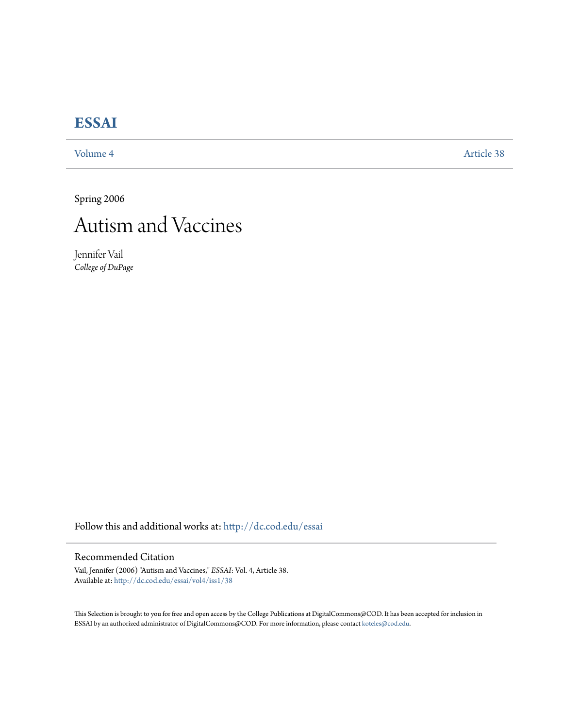# **[ESSAI](http://dc.cod.edu/essai?utm_source=dc.cod.edu%2Fessai%2Fvol4%2Fiss1%2F38&utm_medium=PDF&utm_campaign=PDFCoverPages)**

[Volume 4](http://dc.cod.edu/essai/vol4?utm_source=dc.cod.edu%2Fessai%2Fvol4%2Fiss1%2F38&utm_medium=PDF&utm_campaign=PDFCoverPages) [Article 38](http://dc.cod.edu/essai/vol4/iss1/38?utm_source=dc.cod.edu%2Fessai%2Fvol4%2Fiss1%2F38&utm_medium=PDF&utm_campaign=PDFCoverPages)

Spring 2006



Jennifer Vail *College of DuPage*

Follow this and additional works at: [http://dc.cod.edu/essai](http://dc.cod.edu/essai?utm_source=dc.cod.edu%2Fessai%2Fvol4%2Fiss1%2F38&utm_medium=PDF&utm_campaign=PDFCoverPages)

# Recommended Citation

Vail, Jennifer (2006) "Autism and Vaccines," *ESSAI*: Vol. 4, Article 38. Available at: [http://dc.cod.edu/essai/vol4/iss1/38](http://dc.cod.edu/essai/vol4/iss1/38?utm_source=dc.cod.edu%2Fessai%2Fvol4%2Fiss1%2F38&utm_medium=PDF&utm_campaign=PDFCoverPages)

This Selection is brought to you for free and open access by the College Publications at DigitalCommons@COD. It has been accepted for inclusion in ESSAI by an authorized administrator of DigitalCommons@COD. For more information, please contact [koteles@cod.edu](mailto:koteles@cod.edu).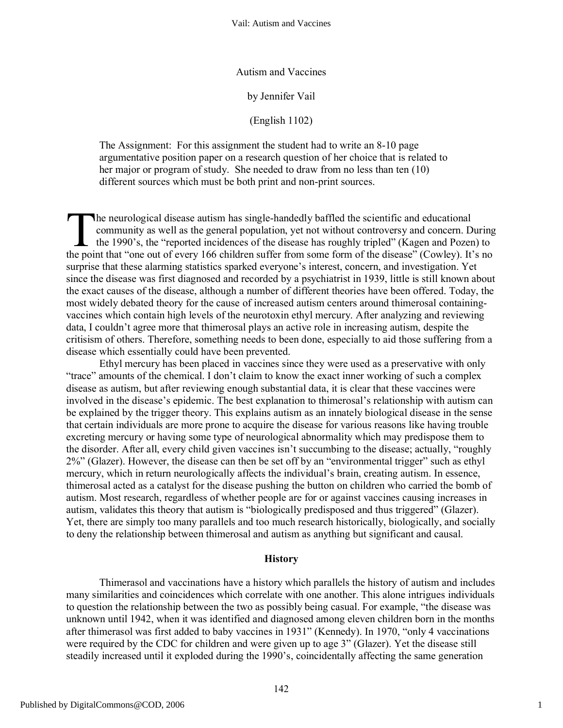Autism and Vaccines

by Jennifer Vail

(English 1102)

The Assignment: For this assignment the student had to write an 8-10 page argumentative position paper on a research question of her choice that is related to her major or program of study. She needed to draw from no less than ten (10) different sources which must be both print and non-print sources.

he neurological disease autism has single-handedly baffled the scientific and educational community as well as the general population, yet not without controversy and concern. During the 1990's, the "reported incidences of the disease has roughly tripled" (Kagen and Pozen) to The neurological disease autism has single-handedly baffled the scientific and educational<br>community as well as the general population, yet not without controversy and concern. During<br>the 1990's, the "reported incidences o surprise that these alarming statistics sparked everyone's interest, concern, and investigation. Yet since the disease was first diagnosed and recorded by a psychiatrist in 1939, little is still known about the exact causes of the disease, although a number of different theories have been offered. Today, the most widely debated theory for the cause of increased autism centers around thimerosal containingvaccines which contain high levels of the neurotoxin ethyl mercury. After analyzing and reviewing data, I couldn't agree more that thimerosal plays an active role in increasing autism, despite the critisism of others. Therefore, something needs to been done, especially to aid those suffering from a disease which essentially could have been prevented.

Ethyl mercury has been placed in vaccines since they were used as a preservative with only "trace" amounts of the chemical. I don't claim to know the exact inner working of such a complex disease as autism, but after reviewing enough substantial data, it is clear that these vaccines were involved in the disease's epidemic. The best explanation to thimerosal's relationship with autism can be explained by the trigger theory. This explains autism as an innately biological disease in the sense that certain individuals are more prone to acquire the disease for various reasons like having trouble excreting mercury or having some type of neurological abnormality which may predispose them to the disorder. After all, every child given vaccines isn't succumbing to the disease; actually, "roughly 2%" (Glazer). However, the disease can then be set off by an "environmental trigger" such as ethyl mercury, which in return neurologically affects the individual's brain, creating autism. In essence, thimerosal acted as a catalyst for the disease pushing the button on children who carried the bomb of autism. Most research, regardless of whether people are for or against vaccines causing increases in autism, validates this theory that autism is "biologically predisposed and thus triggered" (Glazer). Yet, there are simply too many parallels and too much research historically, biologically, and socially to deny the relationship between thimerosal and autism as anything but significant and causal.

#### **History**

Thimerasol and vaccinations have a history which parallels the history of autism and includes many similarities and coincidences which correlate with one another. This alone intrigues individuals to question the relationship between the two as possibly being casual. For example, "the disease was unknown until 1942, when it was identified and diagnosed among eleven children born in the months after thimerasol was first added to baby vaccines in 1931" (Kennedy). In 1970, "only 4 vaccinations were required by the CDC for children and were given up to age 3" (Glazer). Yet the disease still steadily increased until it exploded during the 1990's, coincidentally affecting the same generation

1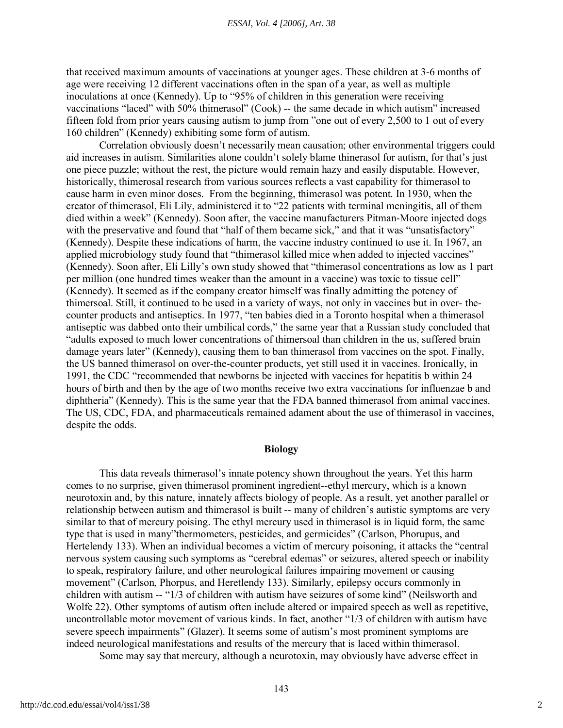that received maximum amounts of vaccinations at younger ages. These children at 3-6 months of age were receiving 12 different vaccinations often in the span of a year, as well as multiple inoculations at once (Kennedy). Up to "95% of children in this generation were receiving vaccinations "laced" with 50% thimerasol" (Cook) -- the same decade in which autism" increased fifteen fold from prior years causing autism to jump from "one out of every 2,500 to 1 out of every 160 children" (Kennedy) exhibiting some form of autism.

Correlation obviously doesn't necessarily mean causation; other environmental triggers could aid increases in autism. Similarities alone couldn't solely blame thinerasol for autism, for that's just one piece puzzle; without the rest, the picture would remain hazy and easily disputable. However, historically, thimerosal research from various sources reflects a vast capability for thimerasol to cause harm in even minor doses. From the beginning, thimerasol was potent. In 1930, when the creator of thimerasol, Eli Lily, administered it to "22 patients with terminal meningitis, all of them died within a week" (Kennedy). Soon after, the vaccine manufacturers Pitman-Moore injected dogs with the preservative and found that "half of them became sick," and that it was "unsatisfactory" (Kennedy). Despite these indications of harm, the vaccine industry continued to use it. In 1967, an applied microbiology study found that "thimerasol killed mice when added to injected vaccines" (Kennedy). Soon after, Eli Lilly's own study showed that "thimerasol concentrations as low as 1 part per million (one hundred times weaker than the amount in a vaccine) was toxic to tissue cell" (Kennedy). It seemed as if the company creator himself was finally admitting the potency of thimersoal. Still, it continued to be used in a variety of ways, not only in vaccines but in over- thecounter products and antiseptics. In 1977, "ten babies died in a Toronto hospital when a thimerasol antiseptic was dabbed onto their umbilical cords," the same year that a Russian study concluded that "adults exposed to much lower concentrations of thimersoal than children in the us, suffered brain damage years later" (Kennedy), causing them to ban thimerasol from vaccines on the spot. Finally, the US banned thimerasol on over-the-counter products, yet still used it in vaccines. Ironically, in 1991, the CDC "recommended that newborns be injected with vaccines for hepatitis b within 24 hours of birth and then by the age of two months receive two extra vaccinations for influenzae b and diphtheria" (Kennedy). This is the same year that the FDA banned thimerasol from animal vaccines. The US, CDC, FDA, and pharmaceuticals remained adament about the use of thimerasol in vaccines, despite the odds.

# **Biology**

This data reveals thimerasol's innate potency shown throughout the years. Yet this harm comes to no surprise, given thimerasol prominent ingredient--ethyl mercury, which is a known neurotoxin and, by this nature, innately affects biology of people. As a result, yet another parallel or relationship between autism and thimerasol is built -- many of children's autistic symptoms are very similar to that of mercury poising. The ethyl mercury used in thimerasol is in liquid form, the same type that is used in many"thermometers, pesticides, and germicides" (Carlson, Phorupus, and Hertelendy 133). When an individual becomes a victim of mercury poisoning, it attacks the "central nervous system causing such symptoms as "cerebral edemas" or seizures, altered speech or inability to speak, respiratory failure, and other neurological failures impairing movement or causing movement" (Carlson, Phorpus, and Heretlendy 133). Similarly, epilepsy occurs commonly in children with autism -- "1/3 of children with autism have seizures of some kind" (Neilsworth and Wolfe 22). Other symptoms of autism often include altered or impaired speech as well as repetitive, uncontrollable motor movement of various kinds. In fact, another "1/3 of children with autism have severe speech impairments" (Glazer). It seems some of autism's most prominent symptoms are indeed neurological manifestations and results of the mercury that is laced within thimerasol.

Some may say that mercury, although a neurotoxin, may obviously have adverse effect in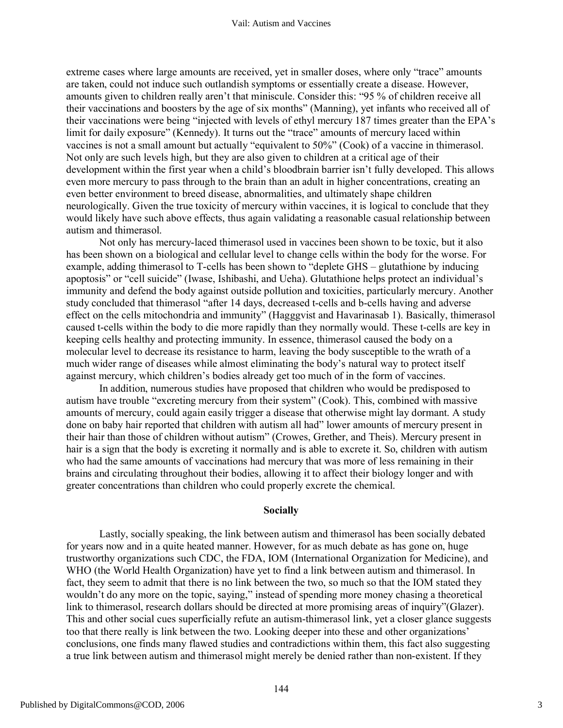extreme cases where large amounts are received, yet in smaller doses, where only "trace" amounts are taken, could not induce such outlandish symptoms or essentially create a disease. However, amounts given to children really aren't that miniscule. Consider this: "95 % of children receive all their vaccinations and boosters by the age of six months" (Manning), yet infants who received all of their vaccinations were being "injected with levels of ethyl mercury 187 times greater than the EPA's limit for daily exposure" (Kennedy). It turns out the "trace" amounts of mercury laced within vaccines is not a small amount but actually "equivalent to 50%" (Cook) of a vaccine in thimerasol. Not only are such levels high, but they are also given to children at a critical age of their development within the first year when a child's bloodbrain barrier isn't fully developed. This allows even more mercury to pass through to the brain than an adult in higher concentrations, creating an even better environment to breed disease, abnormalities, and ultimately shape children neurologically. Given the true toxicity of mercury within vaccines, it is logical to conclude that they would likely have such above effects, thus again validating a reasonable casual relationship between autism and thimerasol.

Not only has mercury-laced thimerasol used in vaccines been shown to be toxic, but it also has been shown on a biological and cellular level to change cells within the body for the worse. For example, adding thimerasol to T-cells has been shown to "deplete GHS – glutathione by inducing apoptosis" or "cell suicide" (Iwase, Ishibashi, and Ueha). Glutathione helps protect an individual's immunity and defend the body against outside pollution and toxicities, particularly mercury. Another study concluded that thimerasol "after 14 days, decreased t-cells and b-cells having and adverse effect on the cells mitochondria and immunity" (Hagggvist and Havarinasab 1). Basically, thimerasol caused t-cells within the body to die more rapidly than they normally would. These t-cells are key in keeping cells healthy and protecting immunity. In essence, thimerasol caused the body on a molecular level to decrease its resistance to harm, leaving the body susceptible to the wrath of a much wider range of diseases while almost eliminating the body's natural way to protect itself against mercury, which children's bodies already get too much of in the form of vaccines.

In addition, numerous studies have proposed that children who would be predisposed to autism have trouble "excreting mercury from their system" (Cook). This, combined with massive amounts of mercury, could again easily trigger a disease that otherwise might lay dormant. A study done on baby hair reported that children with autism all had" lower amounts of mercury present in their hair than those of children without autism" (Crowes, Grether, and Theis). Mercury present in hair is a sign that the body is excreting it normally and is able to excrete it. So, children with autism who had the same amounts of vaccinations had mercury that was more of less remaining in their brains and circulating throughout their bodies, allowing it to affect their biology longer and with greater concentrations than children who could properly excrete the chemical.

## **Socially**

Lastly, socially speaking, the link between autism and thimerasol has been socially debated for years now and in a quite heated manner. However, for as much debate as has gone on, huge trustworthy organizations such CDC, the FDA, IOM (International Organization for Medicine), and WHO (the World Health Organization) have yet to find a link between autism and thimerasol. In fact, they seem to admit that there is no link between the two, so much so that the IOM stated they wouldn't do any more on the topic, saying," instead of spending more money chasing a theoretical link to thimerasol, research dollars should be directed at more promising areas of inquiry"(Glazer). This and other social cues superficially refute an autism-thimerasol link, yet a closer glance suggests too that there really is link between the two. Looking deeper into these and other organizations' conclusions, one finds many flawed studies and contradictions within them, this fact also suggesting a true link between autism and thimerasol might merely be denied rather than non-existent. If they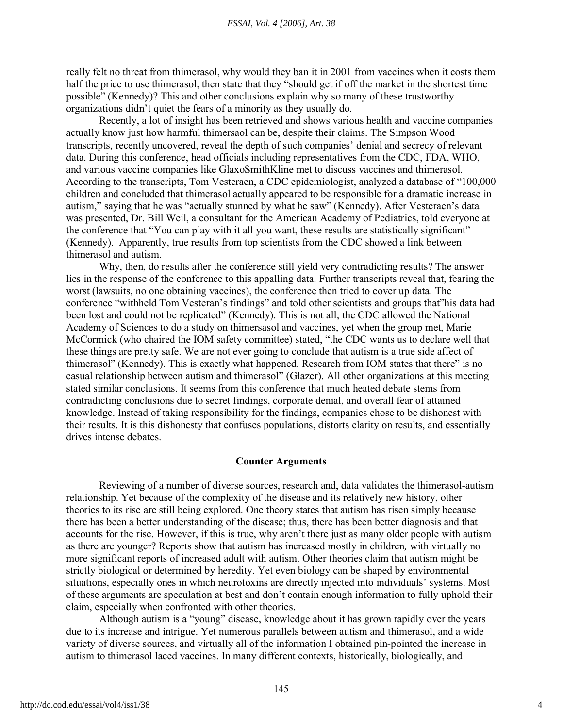really felt no threat from thimerasol, why would they ban it in 2001 from vaccines when it costs them half the price to use thimerasol, then state that they "should get if off the market in the shortest time possible" (Kennedy)? This and other conclusions explain why so many of these trustworthy organizations didn't quiet the fears of a minority as they usually do.

Recently, a lot of insight has been retrieved and shows various health and vaccine companies actually know just how harmful thimersaol can be, despite their claims. The Simpson Wood transcripts, recently uncovered, reveal the depth of such companies' denial and secrecy of relevant data. During this conference, head officials including representatives from the CDC, FDA, WHO, and various vaccine companies like GlaxoSmithKline met to discuss vaccines and thimerasol. According to the transcripts, Tom Vesteraen, a CDC epidemiologist, analyzed a database of "100,000 children and concluded that thimerasol actually appeared to be responsible for a dramatic increase in autism," saying that he was "actually stunned by what he saw" (Kennedy). After Vesteraen's data was presented, Dr. Bill Weil, a consultant for the American Academy of Pediatrics, told everyone at the conference that "You can play with it all you want, these results are statistically significant" (Kennedy). Apparently, true results from top scientists from the CDC showed a link between thimerasol and autism.

Why, then, do results after the conference still yield very contradicting results? The answer lies in the response of the conference to this appalling data. Further transcripts reveal that, fearing the worst (lawsuits, no one obtaining vaccines), the conference then tried to cover up data. The conference "withheld Tom Vesteran's findings" and told other scientists and groups that"his data had been lost and could not be replicated" (Kennedy). This is not all; the CDC allowed the National Academy of Sciences to do a study on thimersasol and vaccines, yet when the group met, Marie McCormick (who chaired the IOM safety committee) stated, "the CDC wants us to declare well that these things are pretty safe. We are not ever going to conclude that autism is a true side affect of thimerasol" (Kennedy). This is exactly what happened. Research from IOM states that there" is no casual relationship between autism and thimerasol" (Glazer). All other organizations at this meeting stated similar conclusions. It seems from this conference that much heated debate stems from contradicting conclusions due to secret findings, corporate denial, and overall fear of attained knowledge. Instead of taking responsibility for the findings, companies chose to be dishonest with their results. It is this dishonesty that confuses populations, distorts clarity on results, and essentially drives intense debates.

### **Counter Arguments**

Reviewing of a number of diverse sources, research and, data validates the thimerasol-autism relationship. Yet because of the complexity of the disease and its relatively new history, other theories to its rise are still being explored. One theory states that autism has risen simply because there has been a better understanding of the disease; thus, there has been better diagnosis and that accounts for the rise. However, if this is true, why aren't there just as many older people with autism as there are younger? Reports show that autism has increased mostly in children*,* with virtually no more significant reports of increased adult with autism. Other theories claim that autism might be strictly biological or determined by heredity. Yet even biology can be shaped by environmental situations, especially ones in which neurotoxins are directly injected into individuals' systems. Most of these arguments are speculation at best and don't contain enough information to fully uphold their claim, especially when confronted with other theories.

Although autism is a "young" disease, knowledge about it has grown rapidly over the years due to its increase and intrigue. Yet numerous parallels between autism and thimerasol, and a wide variety of diverse sources, and virtually all of the information I obtained pin-pointed the increase in autism to thimerasol laced vaccines. In many different contexts, historically, biologically, and

4